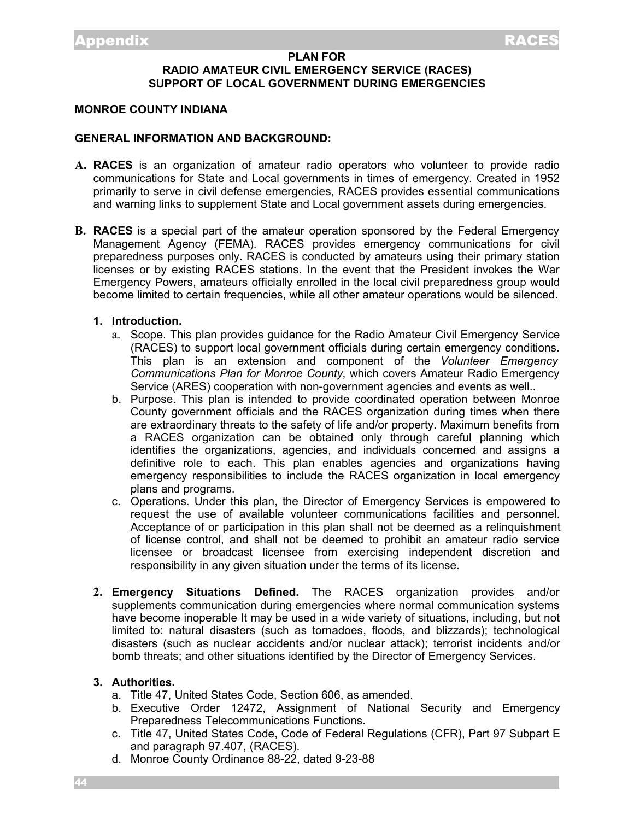## **PLAN FOR RADIO AMATEUR CIVIL EMERGENCY SERVICE (RACES) SUPPORT OF LOCAL GOVERNMENT DURING EMERGENCIES**

#### **MONROE COUNTY INDIANA**

#### **GENERAL INFORMATION AND BACKGROUND:**

- **A. RACES** is an organization of amateur radio operators who volunteer to provide radio communications for State and Local governments in times of emergency. Created in 1952 primarily to serve in civil defense emergencies, RACES provides essential communications and warning links to supplement State and Local government assets during emergencies.
- **B. RACES** is a special part of the amateur operation sponsored by the Federal Emergency Management Agency (FEMA). RACES provides emergency communications for civil preparedness purposes only. RACES is conducted by amateurs using their primary station licenses or by existing RACES stations. In the event that the President invokes the War Emergency Powers, amateurs officially enrolled in the local civil preparedness group would become limited to certain frequencies, while all other amateur operations would be silenced.

## **1. Introduction.**

- a. Scope. This plan provides guidance for the Radio Amateur Civil Emergency Service (RACES) to support local government officials during certain emergency conditions. This plan is an extension and component of the *Volunteer Emergency Communications Plan for Monroe County*, which covers Amateur Radio Emergency Service (ARES) cooperation with non-government agencies and events as well..
- b. Purpose. This plan is intended to provide coordinated operation between Monroe County government officials and the RACES organization during times when there are extraordinary threats to the safety of life and/or property. Maximum benefits from a RACES organization can be obtained only through careful planning which identifies the organizations, agencies, and individuals concerned and assigns a definitive role to each. This plan enables agencies and organizations having emergency responsibilities to include the RACES organization in local emergency plans and programs.
- c. Operations. Under this plan, the Director of Emergency Services is empowered to request the use of available volunteer communications facilities and personnel. Acceptance of or participation in this plan shall not be deemed as a relinquishment of license control, and shall not be deemed to prohibit an amateur radio service licensee or broadcast licensee from exercising independent discretion and responsibility in any given situation under the terms of its license.
- **2. Emergency Situations Defined.** The RACES organization provides and/or supplements communication during emergencies where normal communication systems have become inoperable It may be used in a wide variety of situations, including, but not limited to: natural disasters (such as tornadoes, floods, and blizzards); technological disasters (such as nuclear accidents and/or nuclear attack); terrorist incidents and/or bomb threats; and other situations identified by the Director of Emergency Services.

#### **3. Authorities.**

- a. Title 47, United States Code, Section 606, as amended.
- b. Executive Order 12472, Assignment of National Security and Emergency Preparedness Telecommunications Functions.
- c. Title 47, United States Code, Code of Federal Regulations (CFR), Part 97 Subpart E and paragraph 97.407, (RACES).
- d. Monroe County Ordinance 88-22, dated 9-23-88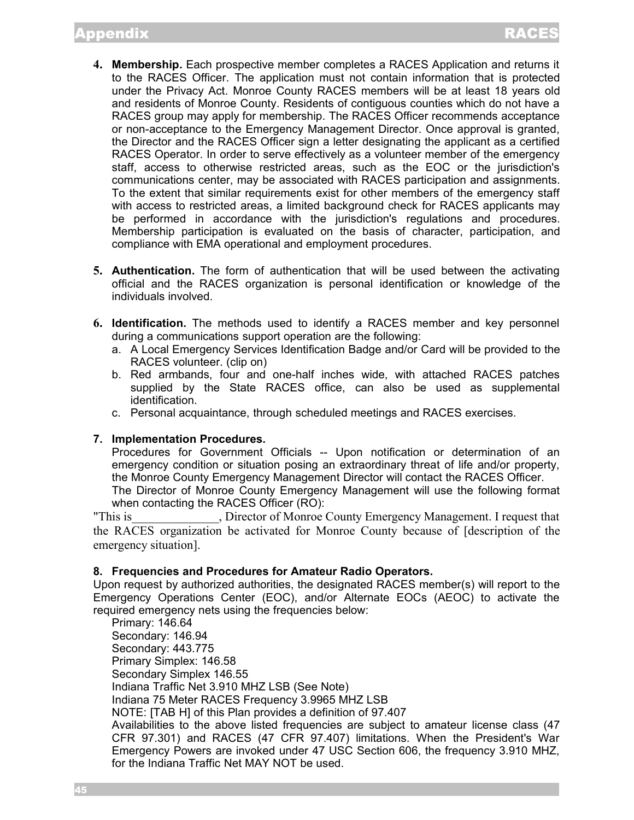- **4. Membership.** Each prospective member completes a RACES Application and returns it to the RACES Officer. The application must not contain information that is protected under the Privacy Act. Monroe County RACES members will be at least 18 years old and residents of Monroe County. Residents of contiguous counties which do not have a RACES group may apply for membership. The RACES Officer recommends acceptance or non-acceptance to the Emergency Management Director. Once approval is granted, the Director and the RACES Officer sign a letter designating the applicant as a certified RACES Operator. In order to serve effectively as a volunteer member of the emergency staff, access to otherwise restricted areas, such as the EOC or the jurisdiction's communications center, may be associated with RACES participation and assignments. To the extent that similar requirements exist for other members of the emergency staff with access to restricted areas, a limited background check for RACES applicants may be performed in accordance with the jurisdiction's regulations and procedures. Membership participation is evaluated on the basis of character, participation, and compliance with EMA operational and employment procedures.
- **5. Authentication.** The form of authentication that will be used between the activating official and the RACES organization is personal identification or knowledge of the individuals involved.
- **6. Identification.** The methods used to identify a RACES member and key personnel during a communications support operation are the following:
	- a. A Local Emergency Services Identification Badge and/or Card will be provided to the RACES volunteer. (clip on)
	- b. Red armbands, four and one-half inches wide, with attached RACES patches supplied by the State RACES office, can also be used as supplemental identification.
	- c. Personal acquaintance, through scheduled meetings and RACES exercises.

## **7. Implementation Procedures.**

Procedures for Government Officials -- Upon notification or determination of an emergency condition or situation posing an extraordinary threat of life and/or property, the Monroe County Emergency Management Director will contact the RACES Officer.

The Director of Monroe County Emergency Management will use the following format when contacting the RACES Officer (RO):

"This is This is This is the Director of Monroe County Emergency Management. I request that the RACES organization be activated for Monroe County because of [description of the emergency situation].

#### **8. Frequencies and Procedures for Amateur Radio Operators.**

Upon request by authorized authorities, the designated RACES member(s) will report to the Emergency Operations Center (EOC), and/or Alternate EOCs (AEOC) to activate the required emergency nets using the frequencies below:

Primary: 146.64 Secondary: 146.94 Secondary: 443.775 Primary Simplex: 146.58 Secondary Simplex 146.55 Indiana Traffic Net 3.910 MHZ LSB (See Note) Indiana 75 Meter RACES Frequency 3.9965 MHZ LSB NOTE: [TAB H] of this Plan provides a definition of 97.407 Availabilities to the above listed frequencies are subject to amateur license class (47 CFR 97.301) and RACES (47 CFR 97.407) limitations. When the President's War Emergency Powers are invoked under 47 USC Section 606, the frequency 3.910 MHZ, for the Indiana Traffic Net MAY NOT be used.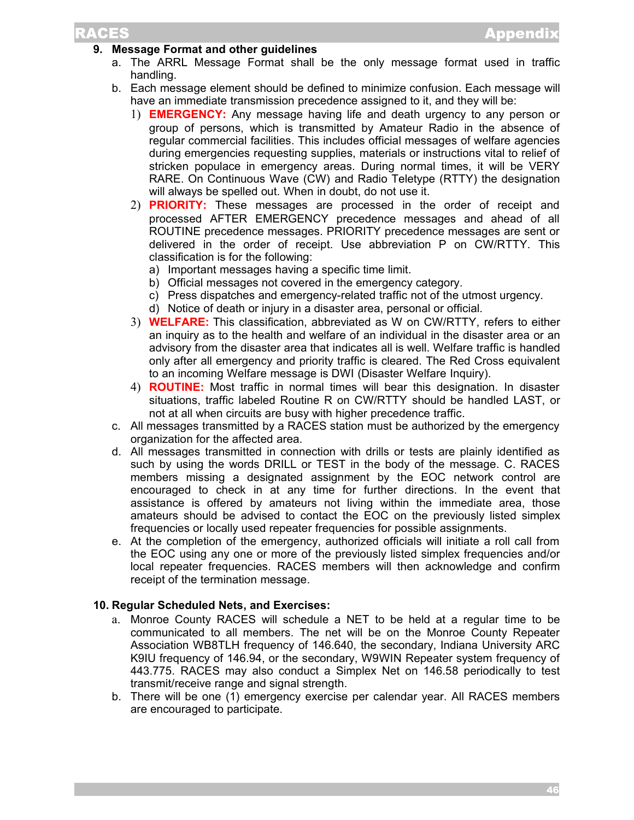## **9. Message Format and other guidelines**

- a. The ARRL Message Format shall be the only message format used in traffic handling.
- b. Each message element should be defined to minimize confusion. Each message will have an immediate transmission precedence assigned to it, and they will be:
	- 1) **EMERGENCY:** Any message having life and death urgency to any person or group of persons, which is transmitted by Amateur Radio in the absence of regular commercial facilities. This includes official messages of welfare agencies during emergencies requesting supplies, materials or instructions vital to relief of stricken populace in emergency areas. During normal times, it will be VERY RARE. On Continuous Wave (CW) and Radio Teletype (RTTY) the designation will always be spelled out. When in doubt, do not use it.
	- 2) **PRIORITY:** These messages are processed in the order of receipt and processed AFTER EMERGENCY precedence messages and ahead of all ROUTINE precedence messages. PRIORITY precedence messages are sent or delivered in the order of receipt. Use abbreviation P on CW/RTTY. This classification is for the following:
		- a) Important messages having a specific time limit.
		- b) Official messages not covered in the emergency category.
		- c) Press dispatches and emergency-related traffic not of the utmost urgency.
		- d) Notice of death or injury in a disaster area, personal or official.
	- 3) **WELFARE:** This classification, abbreviated as W on CW/RTTY, refers to either an inquiry as to the health and welfare of an individual in the disaster area or an advisory from the disaster area that indicates all is well. Welfare traffic is handled only after all emergency and priority traffic is cleared. The Red Cross equivalent to an incoming Welfare message is DWI (Disaster Welfare Inquiry).
	- 4) **ROUTINE:** Most traffic in normal times will bear this designation. In disaster situations, traffic labeled Routine R on CW/RTTY should be handled LAST, or not at all when circuits are busy with higher precedence traffic.
- c. All messages transmitted by a RACES station must be authorized by the emergency organization for the affected area.
- d. All messages transmitted in connection with drills or tests are plainly identified as such by using the words DRILL or TEST in the body of the message. C. RACES members missing a designated assignment by the EOC network control are encouraged to check in at any time for further directions. In the event that assistance is offered by amateurs not living within the immediate area, those amateurs should be advised to contact the EOC on the previously listed simplex frequencies or locally used repeater frequencies for possible assignments.
- e. At the completion of the emergency, authorized officials will initiate a roll call from the EOC using any one or more of the previously listed simplex frequencies and/or local repeater frequencies. RACES members will then acknowledge and confirm receipt of the termination message.

#### **10. Regular Scheduled Nets, and Exercises:**

- a. Monroe County RACES will schedule a NET to be held at a regular time to be communicated to all members. The net will be on the Monroe County Repeater Association WB8TLH frequency of 146.640, the secondary, Indiana University ARC K9IU frequency of 146.94, or the secondary, W9WIN Repeater system frequency of 443.775. RACES may also conduct a Simplex Net on 146.58 periodically to test transmit/receive range and signal strength.
- b. There will be one (1) emergency exercise per calendar year. All RACES members are encouraged to participate.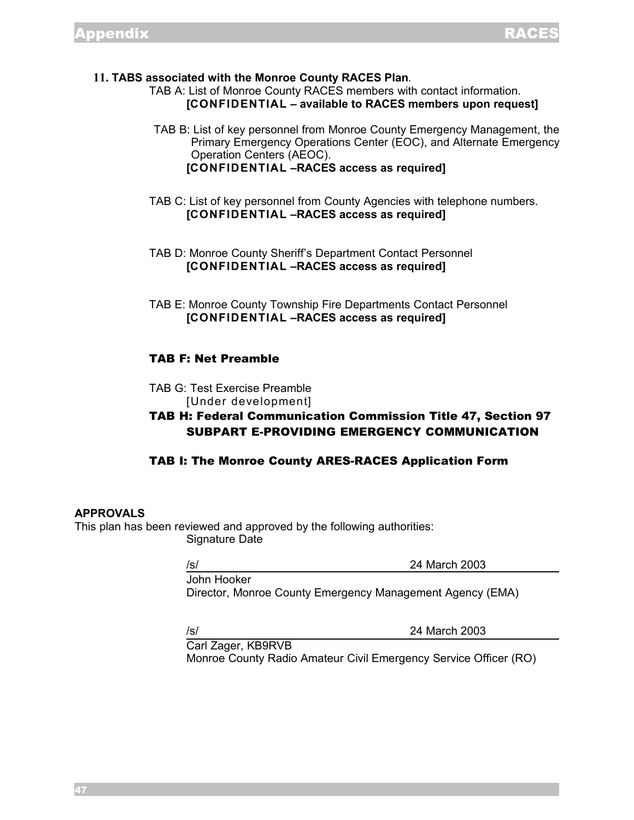**11. TABS associated with the Monroe County RACES Plan**.

TAB A: List of Monroe County RACES members with contact information. **[CONFIDENTIAL – available to RACES members upon request]**

TAB B: List of key personnel from Monroe County Emergency Management, the Primary Emergency Operations Center (EOC), and Alternate Emergency Operation Centers (AEOC). **[CONFIDENTIAL –RACES access as required]**

TAB C: List of key personnel from County Agencies with telephone numbers. **[CONFIDENTIAL –RACES access as required]**

TAB D: Monroe County Sheriff's Department Contact Personnel **[CONFIDENTIAL –RACES access as required]**

TAB E: Monroe County Township Fire Departments Contact Personnel **[CONFIDENTIAL –RACES access as required]**

## TAB F: Net Preamble

TAB G: Test Exercise Preamble [Under development]

# TAB H: Federal Communication Commission Title 47, Section 97 SUBPART E-PROVIDING EMERGENCY COMMUNICATION

## TAB I: The Monroe County ARES-RACES Application Form

#### **APPROVALS**

This plan has been reviewed and approved by the following authorities: Signature Date

/s/ 24 March 2003

John Hooker

Director, Monroe County Emergency Management Agency (EMA)

/s/ 24 March 2003

Carl Zager, KB9RVB Monroe County Radio Amateur Civil Emergency Service Officer (RO)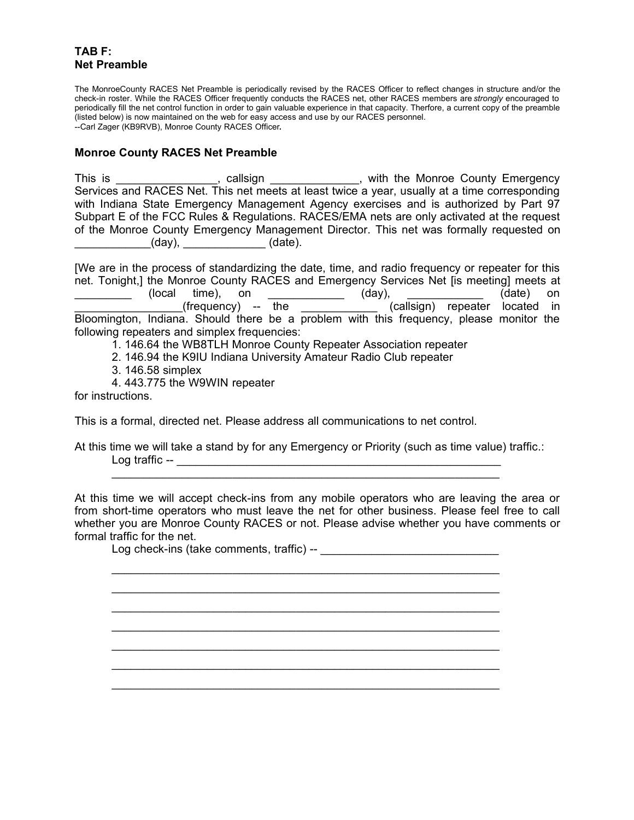## **TAB F: Net Preamble**

The MonroeCounty RACES Net Preamble is periodically revised by the RACES Officer to reflect changes in structure and/or the check-in roster. While the RACES Officer frequently conducts the RACES net, other RACES members are *strongly* encouraged to periodically fill the net control function in order to gain valuable experience in that capacity. Therfore, a current copy of the preamble (listed below) is now maintained on the web for easy access and use by our RACES personnel. --Carl Zager (KB9RVB), Monroe County RACES Officer**.**

#### **Monroe County RACES Net Preamble**

This is \_\_\_\_\_\_\_\_\_\_\_\_\_\_\_, callsign \_\_\_\_\_\_\_\_\_\_\_\_, with the Monroe County Emergency Services and RACES Net. This net meets at least twice a year, usually at a time corresponding with Indiana State Emergency Management Agency exercises and is authorized by Part 97 Subpart E of the FCC Rules & Regulations. RACES/EMA nets are only activated at the request of the Monroe County Emergency Management Director. This net was formally requested on  $(day)$ ,  $(dab)$ .

[We are in the process of standardizing the date, time, and radio frequency or repeater for this net. Tonight,] the Monroe County RACES and Emergency Services Net [is meeting] meets at \_\_\_\_\_\_\_\_\_\_\_\_\_ (local time), on \_\_\_\_\_\_\_\_\_\_\_\_\_\_ (day), \_\_\_\_\_\_\_\_\_\_\_\_\_\_ (date) on  $(\text{frequency})$  -- the  $(\text{calisign})$  repeater located in Bloomington, Indiana. Should there be a problem with this frequency, please monitor the following repeaters and simplex frequencies:

1. 146.64 the WB8TLH Monroe County Repeater Association repeater

- 2. 146.94 the K9IU Indiana University Amateur Radio Club repeater
- 3. 146.58 simplex
- 4. 443.775 the W9WIN repeater

for instructions.

This is a formal, directed net. Please address all communications to net control.

At this time we will take a stand by for any Emergency or Priority (such as time value) traffic.: Log traffic -- \_\_\_\_\_\_\_\_\_\_\_\_\_\_\_\_\_\_\_\_\_\_\_\_\_\_\_\_\_\_\_\_\_\_\_\_\_\_\_\_\_\_\_\_\_\_\_\_\_\_\_

\_\_\_\_\_\_\_\_\_\_\_\_\_\_\_\_\_\_\_\_\_\_\_\_\_\_\_\_\_\_\_\_\_\_\_\_\_\_\_\_\_\_\_\_\_\_\_\_\_\_\_\_\_\_\_\_\_\_\_\_\_

\_\_\_\_\_\_\_\_\_\_\_\_\_\_\_\_\_\_\_\_\_\_\_\_\_\_\_\_\_\_\_\_\_\_\_\_\_\_\_\_\_\_\_\_\_\_\_\_\_\_\_\_\_\_\_\_\_\_\_\_\_ \_\_\_\_\_\_\_\_\_\_\_\_\_\_\_\_\_\_\_\_\_\_\_\_\_\_\_\_\_\_\_\_\_\_\_\_\_\_\_\_\_\_\_\_\_\_\_\_\_\_\_\_\_\_\_\_\_\_\_\_\_ \_\_\_\_\_\_\_\_\_\_\_\_\_\_\_\_\_\_\_\_\_\_\_\_\_\_\_\_\_\_\_\_\_\_\_\_\_\_\_\_\_\_\_\_\_\_\_\_\_\_\_\_\_\_\_\_\_\_\_\_\_ \_\_\_\_\_\_\_\_\_\_\_\_\_\_\_\_\_\_\_\_\_\_\_\_\_\_\_\_\_\_\_\_\_\_\_\_\_\_\_\_\_\_\_\_\_\_\_\_\_\_\_\_\_\_\_\_\_\_\_\_\_ \_\_\_\_\_\_\_\_\_\_\_\_\_\_\_\_\_\_\_\_\_\_\_\_\_\_\_\_\_\_\_\_\_\_\_\_\_\_\_\_\_\_\_\_\_\_\_\_\_\_\_\_\_\_\_\_\_\_\_\_\_ \_\_\_\_\_\_\_\_\_\_\_\_\_\_\_\_\_\_\_\_\_\_\_\_\_\_\_\_\_\_\_\_\_\_\_\_\_\_\_\_\_\_\_\_\_\_\_\_\_\_\_\_\_\_\_\_\_\_\_\_\_ \_\_\_\_\_\_\_\_\_\_\_\_\_\_\_\_\_\_\_\_\_\_\_\_\_\_\_\_\_\_\_\_\_\_\_\_\_\_\_\_\_\_\_\_\_\_\_\_\_\_\_\_\_\_\_\_\_\_\_\_\_

At this time we will accept check-ins from any mobile operators who are leaving the area or from short-time operators who must leave the net for other business. Please feel free to call whether you are Monroe County RACES or not. Please advise whether you have comments or formal traffic for the net.

Log check-ins (take comments, traffic) -- \_\_\_\_\_\_\_\_\_\_\_\_\_\_\_\_\_\_\_\_\_\_\_\_\_\_\_\_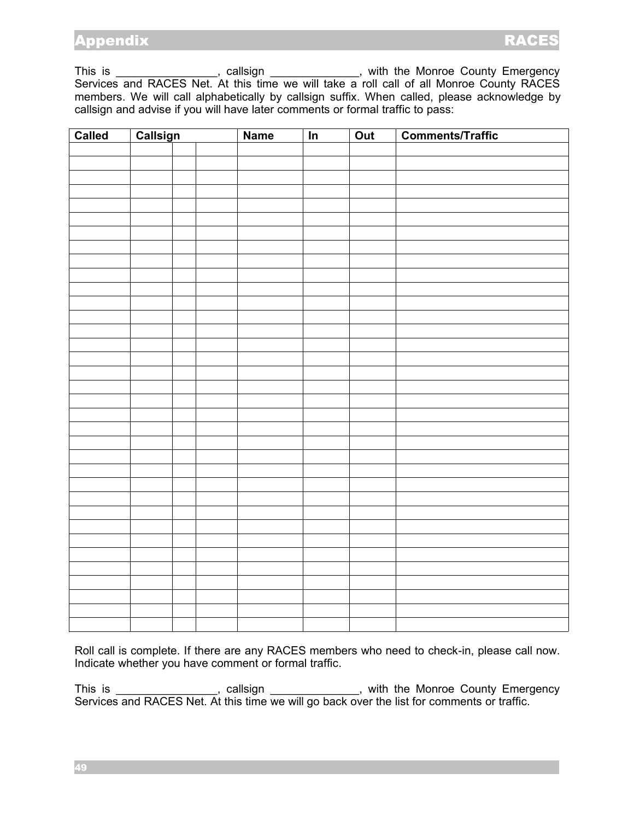This is \_\_\_\_\_\_\_\_\_\_\_\_\_\_\_\_\_, callsign \_\_\_\_\_\_\_\_\_\_\_\_\_\_, with the Monroe County Emergency Services and RACES Net. At this time we will take a roll call of all Monroe County RACES members. We will call alphabetically by callsign suffix. When called, please acknowledge by callsign and advise if you will have later comments or formal traffic to pass:

| Called | Callsign |  | <b>Name</b> | $\overline{\ln}$ | Out | <b>Comments/Traffic</b> |
|--------|----------|--|-------------|------------------|-----|-------------------------|
|        |          |  |             |                  |     |                         |
|        |          |  |             |                  |     |                         |
|        |          |  |             |                  |     |                         |
|        |          |  |             |                  |     |                         |
|        |          |  |             |                  |     |                         |
|        |          |  |             |                  |     |                         |
|        |          |  |             |                  |     |                         |
|        |          |  |             |                  |     |                         |
|        |          |  |             |                  |     |                         |
|        |          |  |             |                  |     |                         |
|        |          |  |             |                  |     |                         |
|        |          |  |             |                  |     |                         |
|        |          |  |             |                  |     |                         |
|        |          |  |             |                  |     |                         |
|        |          |  |             |                  |     |                         |
|        |          |  |             |                  |     |                         |
|        |          |  |             |                  |     |                         |
|        |          |  |             |                  |     |                         |
|        |          |  |             |                  |     |                         |
|        |          |  |             |                  |     |                         |
|        |          |  |             |                  |     |                         |
|        |          |  |             |                  |     |                         |
|        |          |  |             |                  |     |                         |
|        |          |  |             |                  |     |                         |
|        |          |  |             |                  |     |                         |
|        |          |  |             |                  |     |                         |
|        |          |  |             |                  |     |                         |
|        |          |  |             |                  |     |                         |
|        |          |  |             |                  |     |                         |
|        |          |  |             |                  |     |                         |
|        |          |  |             |                  |     |                         |
|        |          |  |             |                  |     |                         |
|        |          |  |             |                  |     |                         |
|        |          |  |             |                  |     |                         |
|        |          |  |             |                  |     |                         |

Roll call is complete. If there are any RACES members who need to check-in, please call now. Indicate whether you have comment or formal traffic.

This is \_\_\_\_\_\_\_\_\_\_\_\_\_\_\_, callsign \_\_\_\_\_\_\_\_\_\_\_\_, with the Monroe County Emergency Services and RACES Net. At this time we will go back over the list for comments or traffic.